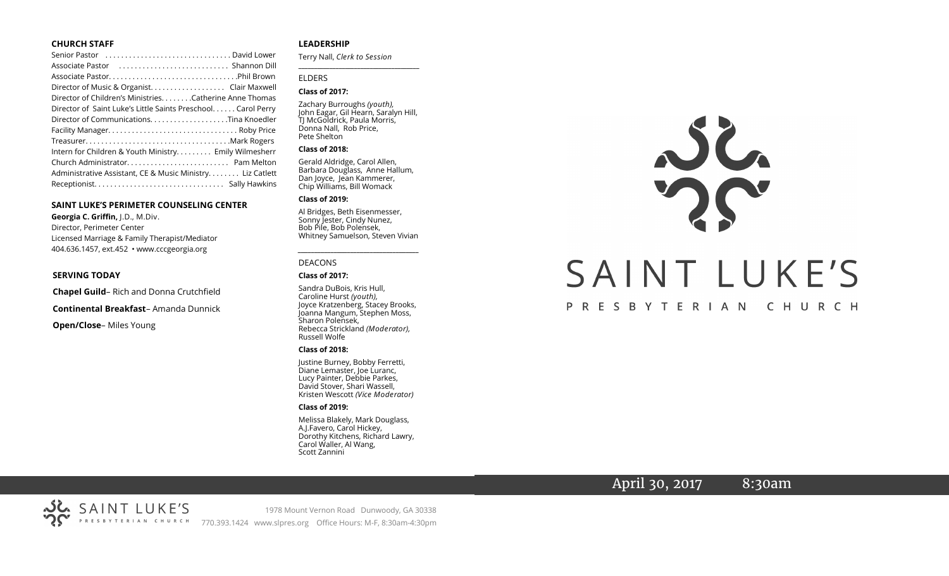#### **CHURCH STAFF**

| Senior Pastor  David Lower                                   |
|--------------------------------------------------------------|
|                                                              |
|                                                              |
| Director of Music & Organist. Clair Maxwell                  |
| Director of Children's MinistriesCatherine Anne Thomas       |
| Director of Saint Luke's Little Saints Preschool Carol Perry |
| Director of CommunicationsTina Knoedler                      |
|                                                              |
|                                                              |
| Intern for Children & Youth Ministry Emily Wilmesherr        |
|                                                              |
| Administrative Assistant, CE & Music Ministry Liz Catlett    |
|                                                              |

#### **SAINT LUKE'S PERIMETER COUNSELING CENTER**

**Georgia C. Griffin,** J.D., M.Div. Director, Perimeter Center Licensed Marriage & Family Therapist/Mediator 404.636.1457, ext.452 • www.cccgeorgia.org

#### **SERVING TODAY**

**Chapel Guild**– Rich and Donna Crutchfield

**Continental Breakfast**– Amanda Dunnick

**Open/Close**– Miles Young

#### **LEADERSHIP**

Terry Nall, *Clerk to Session*  **\_\_\_\_\_\_\_\_\_\_\_\_\_\_\_\_\_\_\_\_\_\_\_\_\_\_\_\_\_\_\_\_\_\_\_\_\_\_\_**

#### ELDERS

#### **Class of 2017:**

Zachary Burroughs *(youth),*  John Eagar, Gil Hearn, Saralyn Hill, TJ McGoldrick, Paula Morris, Donna Nall, Rob Price, Pete Shelton

#### **Class of 2018:**

Gerald Aldridge, Carol Allen, Barbara Douglass, Anne Hallum, Dan Joyce, Jean Kammerer, Chip Williams, Bill Womack

#### **Class of 2019:**

Al Bridges, Beth Eisenmesser, Sonny Jester, Cindy Nunez, Bob Pile, Bob Polensek, Whitney Samuelson, Steven Vivian

*\_\_\_\_\_\_\_\_\_\_\_\_\_\_\_\_\_\_\_\_\_\_\_\_\_\_\_\_\_\_\_\_\_\_\_\_\_*

#### DEACONS

#### **Class of 2017:**

Sandra DuBois, Kris Hull, Caroline Hurst *(youth),* Joyce Kratzenberg, Stacey Brooks, Joanna Mangum, Stephen Moss, Sharon Polensek, Rebecca Strickland *(Moderator),*  Russell Wolfe

#### **Class of 2018:**

Justine Burney, Bobby Ferretti, Diane Lemaster, Joe Luranc, Lucy Painter, Debbie Parkes, David Stover, Shari Wassell, Kristen Wescott *(Vice Moderator)*

#### **Class of 2019:**

Melissa Blakely, Mark Douglass, A.J.Favero, Carol Hickey, Dorothy Kitchens, Richard Lawry, Carol Waller, Al Wang, Scott Zannini



# April 30, 2017 8:30am



1978 Mount Vernon Road Dunwoody, GA 30338 770.393.1424 www.slpres.org Office Hours: M-F, 8:30am-4:30pm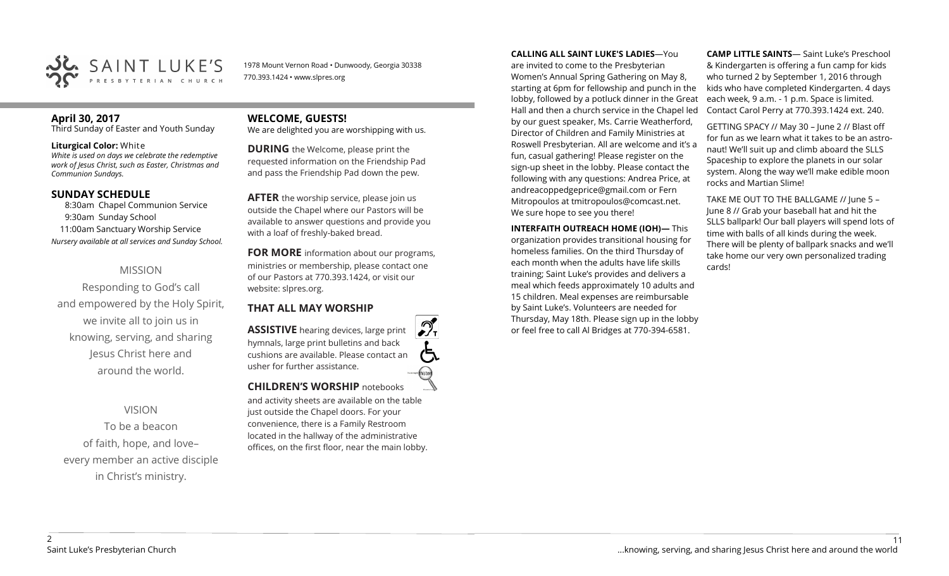

1978 Mount Vernon Road • Dunwoody, Georgia 30338 770.393.1424 • www.slpres.org

# **April 30, 2017**

Third Sunday of Easter and Youth Sunday

#### **Liturgical Color:** White

*White is used on days we celebrate the redemptive work of Jesus Christ, such as Easter, Christmas and Communion Sundays.*

#### **SUNDAY SCHEDULE**

8:30am Chapel Communion Service 9:30am Sunday School 11:00am Sanctuary Worship Service *Nursery available at all services and Sunday School.*

# MISSION

Responding to God's call and empowered by the Holy Spirit, we invite all to join us in knowing, serving, and sharing Jesus Christ here and around the world.

## VISION

To be a beacon of faith, hope, and love– every member an active disciple in Christ's ministry.

# **WELCOME, GUESTS!**

We are delighted you are worshipping with us.

**DURING** the Welcome, please print the requested information on the Friendship Pad and pass the Friendship Pad down the pew.

**AFTER** the worship service, please join us outside the Chapel where our Pastors will be available to answer questions and provide you with a loaf of freshly-baked bread.

**FOR MORE** information about our programs, ministries or membership, please contact one of our Pastors at 770.393.1424, or visit our website: slpres.org.

## **THAT ALL MAY WORSHIP**

**ASSISTIVE** hearing devices, large print hymnals, large print bulletins and back cushions are available. Please contact an usher for further assistance. histext **CHILDREN'S WORSHIP** notebooks

and activity sheets are available on the table just outside the Chapel doors. For your convenience, there is a Family Restroom located in the hallway of the administrative offices, on the first floor, near the main lobby.

#### **CALLING ALL SAINT LUKE'S LADIES**—You

are invited to come to the Presbyterian Women's Annual Spring Gathering on May 8, starting at 6pm for fellowship and punch in the lobby, followed by a potluck dinner in the Great Hall and then a church service in the Chapel led by our guest speaker, Ms. Carrie Weatherford, Director of Children and Family Ministries at Roswell Presbyterian. All are welcome and it's a fun, casual gathering! Please register on the sign-up sheet in the lobby. Please contact the following with any questions: Andrea Price, at [andreacoppedgeprice@gmail.com](mailto:andreacoppedgeprice@gmail.com) or Fern Mitropoulos at tmitropoulos@comcast.net. We sure hope to see you there!

**INTERFAITH OUTREACH HOME (IOH)—** This organization provides transitional housing for homeless families. On the third Thursday of each month when the adults have life skills training; Saint Luke's provides and delivers a meal which feeds approximately 10 adults and 15 children. Meal expenses are reimbursable by Saint Luke's. Volunteers are needed for Thursday, May 18th. Please sign up in the lobby or feel free to call Al Bridges at 770-394-6581.

**CAMP LITTLE SAINTS**— Saint Luke's Preschool & Kindergarten is offering a fun camp for kids who turned 2 by September 1, 2016 through kids who have completed Kindergarten. 4 days each week, 9 a.m. - 1 p.m. Space is limited. Contact Carol Perry at 770.393.1424 ext. 240.

GETTING SPACY // May 30 – June 2 // Blast off for fun as we learn what it takes to be an astronaut! We'll suit up and climb aboard the SLLS Spaceship to explore the planets in our solar system. Along the way we'll make edible moon rocks and Martian Slime!

TAKE ME OUT TO THE BALLGAME // June 5 – June 8 // Grab your baseball hat and hit the SLLS ballpark! Our ball players will spend lots of time with balls of all kinds during the week. There will be plenty of ballpark snacks and we'll take home our very own personalized trading cards!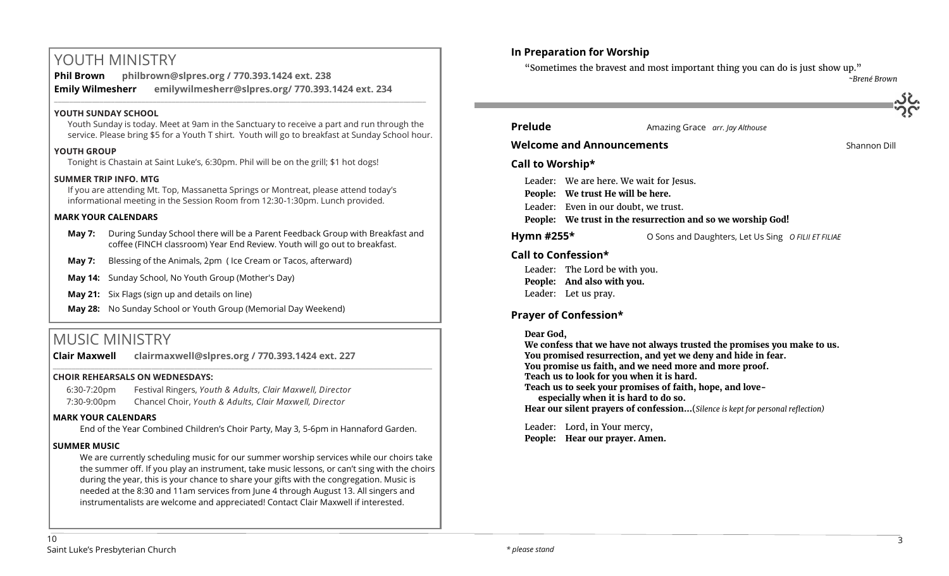# YOUTH MINISTRY

**Phil Brown philbrown@slpres.org / 770.393.1424 ext. 238 Emily Wilmesherr emilywilmesherr@slpres.org/ 770.393.1424 ext. 234**   $\_$  ,  $\_$  ,  $\_$  ,  $\_$  ,  $\_$  ,  $\_$  ,  $\_$  ,  $\_$  ,  $\_$  ,  $\_$  ,  $\_$  ,  $\_$  ,  $\_$  ,  $\_$  ,  $\_$  ,  $\_$  ,  $\_$  ,  $\_$  ,  $\_$  ,  $\_$  ,  $\_$  ,  $\_$  ,  $\_$  ,  $\_$  ,  $\_$  ,  $\_$  ,  $\_$  ,  $\_$  ,  $\_$  ,  $\_$  ,  $\_$  ,  $\_$  ,  $\_$  ,  $\_$  ,  $\_$  ,  $\_$  ,  $\_$  ,

#### **YOUTH SUNDAY SCHOOL**

Youth Sunday is today. Meet at 9am in the Sanctuary to receive a part and run through the service. Please bring \$5 for a Youth T shirt. Youth will go to breakfast at Sunday School hour.

#### **YOUTH GROUP**

Tonight is Chastain at Saint Luke's, 6:30pm. Phil will be on the grill; \$1 hot dogs!

#### **SUMMER TRIP INFO. MTG**

If you are attending Mt. Top, Massanetta Springs or Montreat, please attend today's informational meeting in the Session Room from 12:30-1:30pm. Lunch provided.

#### **MARK YOUR CALENDARS**

- **May 7:** During Sunday School there will be a Parent Feedback Group with Breakfast and coffee (FINCH classroom) Year End Review. Youth will go out to breakfast.
- **May 7:** Blessing of the Animals, 2pm ( Ice Cream or Tacos, afterward)
- **May 14:** Sunday School, No Youth Group (Mother's Day)

**May 21:** Six Flags (sign up and details on line)

**May 28:** No Sunday School or Youth Group (Memorial Day Weekend)

# MUSIC MINISTRY

**Clair Maxwell clairmaxwell@slpres.org / 770.393.1424 ext. 227**  \_\_\_\_\_\_\_\_\_\_\_\_\_\_\_\_\_\_\_\_\_\_\_\_\_\_\_\_\_\_\_\_\_\_\_\_\_\_\_\_\_\_\_\_\_\_\_\_\_\_\_\_\_\_\_\_\_\_\_\_\_\_\_\_\_\_\_\_\_\_\_\_\_\_\_\_\_\_\_\_\_\_\_\_\_\_\_\_\_\_\_\_\_\_\_\_\_\_\_\_

#### **CHOIR REHEARSALS ON WEDNESDAYS:**

6:30-7:20pm Festival Ringers, *Youth & Adults, Clair Maxwell, Director* 7:30-9:00pm Chancel Choir, *Youth & Adults, Clair Maxwell, Director* 

## **MARK YOUR CALENDARS**

End of the Year Combined Children's Choir Party, May 3, 5-6pm in Hannaford Garden.

#### **SUMMER MUSIC**

We are currently scheduling music for our summer worship services while our choirs take the summer off. If you play an instrument, take music lessons, or can't sing with the choirs during the year, this is your chance to share your gifts with the congregation. Music is needed at the 8:30 and 11am services from June 4 through August 13. All singers and instrumentalists are welcome and appreciated! Contact Clair Maxwell if interested.

# **In Preparation for Worship**

"Sometimes the bravest and most important thing you can do is just show up."

*~Brené Brown*



# **Prelude** Amazing Grace *arr. Jay Althouse*

## **Welcome and Announcements Shannon Dill Shannon Dill**

## **Call to Worship\***

Leader: We are here. We wait for Jesus.

**People: We trust He will be here.** 

Leader: Even in our doubt, we trust.

# **People: We trust in the resurrection and so we worship God!**

## **Hymn #255\*** O Sons and Daughters, Let Us Sing *O FILII ET FILIAE*

# **Call to Confession\***

Leader: The Lord be with you. **People: And also with you.** Leader: Let us pray.

# **Prayer of Confession\***

## **Dear God,**

**We confess that we have not always trusted the promises you make to us. You promised resurrection, and yet we deny and hide in fear. You promise us faith, and we need more and more proof. Teach us to look for you when it is hard. Teach us to seek your promises of faith, hope, and loveespecially when it is hard to do so. Hear our silent prayers of confession…**(*Silence is kept for personal reflection)*

Leader: Lord, in Your mercy. **People: Hear our prayer. Amen.**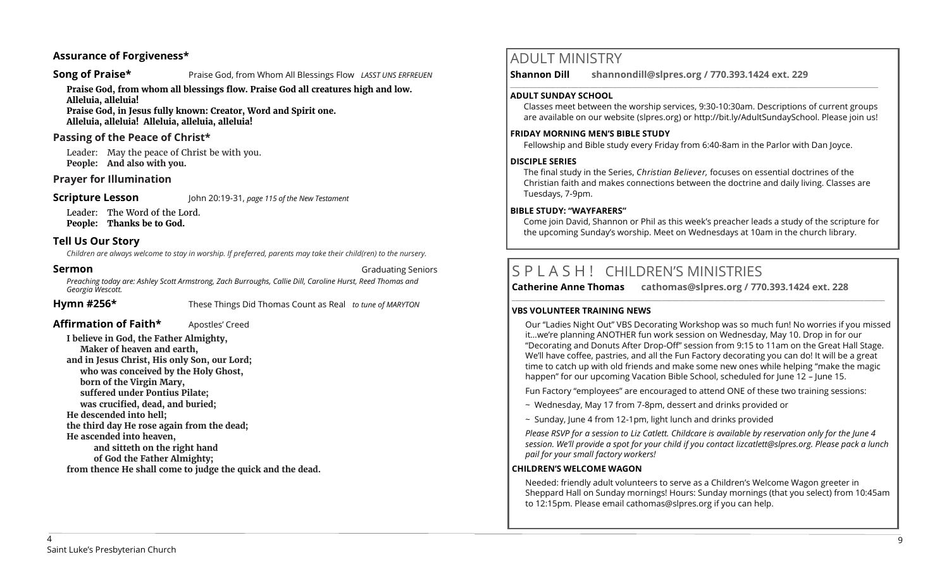# **Assurance of Forgiveness\***

#### **Song of Praise\* Praise God, from Whom All Blessings Flow** *LASST UNS ERFREUEN*

**Praise God, from whom all blessings flow. Praise God all creatures high and low. Alleluia, alleluia!** 

**Praise God, in Jesus fully known: Creator, Word and Spirit one. Alleluia, alleluia! Alleluia, alleluia, alleluia!** 

## **Passing of the Peace of Christ\***

Leader: May the peace of Christ be with you. **People: And also with you.**

## **Prayer for Illumination**

**Scripture Lesson** John 20:19-31, *page 115 of the New Testament* 

Leader: The Word of the Lord. **People: Thanks be to God.**

# **Tell Us Our Story**

*Children are always welcome to stay in worship. If preferred, parents may take their child(ren) to the nursery.*

**Sermon Graduating Seniors Sermon Graduating Seniors Sermon** 

*Preaching today are: Ashley Scott Armstrong, Zach Burroughs, Callie Dill, Caroline Hurst, Reed Thomas and Georgia Wescott.* 

**Hymn #256\*** These Things Did Thomas Count as Real *to tune of MARYTON*

**Affirmation of Faith\*** Apostles' Creed **I believe in God, the Father Almighty, Maker of heaven and earth, and in Jesus Christ, His only Son, our Lord; who was conceived by the Holy Ghost, born of the Virgin Mary, suffered under Pontius Pilate; was crucified, dead, and buried; He descended into hell; the third day He rose again from the dead; He ascended into heaven, and sitteth on the right hand of God the Father Almighty; from thence He shall come to judge the quick and the dead.**

# ADULT MINISTRY

**Shannon Dill shannondill@slpres.org / 770.393.1424 ext. 229** 

#### **ADULT SUNDAY SCHOOL**

Classes meet between the worship services, 9:30-10:30am. Descriptions of current groups are available on our website (slpres.org) or http://bit.ly/AdultSundaySchool. Please join us!

 $\_$  ,  $\_$  ,  $\_$  ,  $\_$  ,  $\_$  ,  $\_$  ,  $\_$  ,  $\_$  ,  $\_$  ,  $\_$  ,  $\_$  ,  $\_$  ,  $\_$  ,  $\_$  ,  $\_$  ,  $\_$  ,  $\_$  ,  $\_$  ,  $\_$ 

#### **FRIDAY MORNING MEN'S BIBLE STUDY**

Fellowship and Bible study every Friday from 6:40-8am in the Parlor with Dan Joyce.

#### **DISCIPLE SERIES**

The final study in the Series, *Christian Believer,* focuses on essential doctrines of the Christian faith and makes connections between the doctrine and daily living. Classes are Tuesdays, 7-9pm.

#### **BIBLE STUDY: "WAYFARERS"**

Come join David, Shannon or Phil as this week's preacher leads a study of the scripture for the upcoming Sunday's worship. Meet on Wednesdays at 10am in the church library.

# S P L A S H ! CHILDREN'S MINISTRIES

**Catherine Anne Thomas cathomas@slpres.org / 770.393.1424 ext. 228 \_\_\_\_\_\_\_\_\_\_\_\_\_\_\_\_\_\_\_\_\_\_\_\_\_\_\_\_\_\_\_\_\_\_\_\_\_\_\_\_\_\_\_\_\_\_\_\_\_\_\_\_\_\_\_\_\_\_\_\_\_\_\_\_\_\_\_\_\_\_\_\_\_\_\_\_\_\_\_\_\_\_\_\_\_\_\_\_\_\_\_\_\_\_\_\_\_\_\_\_\_\_\_\_\_\_\_** 

#### **VBS VOLUNTEER TRAINING NEWS**

Our "Ladies Night Out" VBS Decorating Workshop was so much fun! No worries if you missed it…we're planning ANOTHER fun work session on Wednesday, May 10. Drop in for our "Decorating and Donuts After Drop-Off" session from 9:15 to 11am on the Great Hall Stage. We'll have coffee, pastries, and all the Fun Factory decorating you can do! It will be a great time to catch up with old friends and make some new ones while helping "make the magic happen" for our upcoming Vacation Bible School, scheduled for June 12 – June 15.

Fun Factory "employees" are encouraged to attend ONE of these two training sessions:

- ~ Wednesday, May 17 from 7-8pm, dessert and drinks provided or
- ~ Sunday, June 4 from 12-1pm, light lunch and drinks provided

*Please RSVP for a session to Liz Catlett. Childcare is available by reservation only for the June 4 session. We'll provide a spot for your child if you contact [lizcatlett@slpres.org.](mailto:lizcatlett@slpres.org) Please pack a lunch pail for your small factory workers!*

#### **CHILDREN'S WELCOME WAGON**

Needed: friendly adult volunteers to serve as a Children's Welcome Wagon greeter in Sheppard Hall on Sunday mornings! Hours: Sunday mornings (that you select) from 10:45am to 12:15pm. Please email [cathomas@slpres.org](mailto:cathomas@slpres.org) if you can help.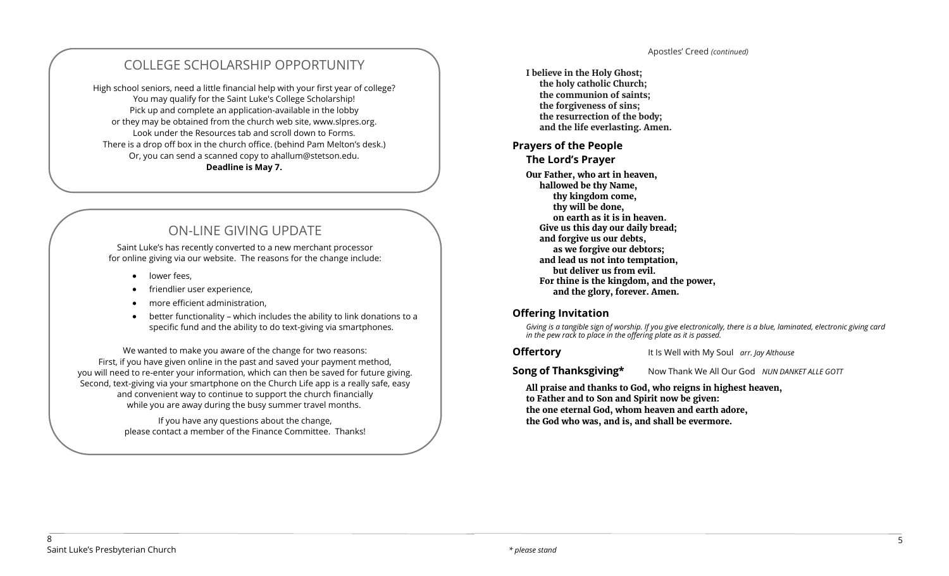# COLLEGE SCHOLARSHIP OPPORTUNITY

High school seniors, need a little financial help with your first year of college? You may qualify for the Saint Luke's College Scholarship! Pick up and complete an application-available in the lobby or they may be obtained from the church web site, www.slpres.org. Look under the Resources tab and scroll down to Forms. There is a drop off box in the church office. (behind Pam Melton's desk.) Or, you can send a scanned copy to ahallum@stetson.edu. **Deadline is May 7.**

# ON-LINE GIVING UPDATE

Saint Luke's has recently converted to a new merchant processor for online giving via our website. The reasons for the change include:

- lower fees,
- friendlier user experience,
- more efficient administration,
- better functionality which includes the ability to link donations to a specific fund and the ability to do text-giving via smartphones.

We wanted to make you aware of the change for two reasons: First, if you have given online in the past and saved your payment method, you will need to re-enter your information, which can then be saved for future giving. Second, text-giving via your smartphone on the Church Life app is a really safe, easy and convenient way to continue to support the church financially while you are away during the busy summer travel months.

> If you have any questions about the change, please contact a member of the Finance Committee. Thanks!

**I believe in the Holy Ghost; the holy catholic Church; the communion of saints; the forgiveness of sins; the resurrection of the body; and the life everlasting. Amen.**

# **Prayers of the People**

**The Lord's Prayer** 

**Our Father, who art in heaven, hallowed be thy Name, thy kingdom come, thy will be done, on earth as it is in heaven. Give us this day our daily bread; and forgive us our debts, as we forgive our debtors; and lead us not into temptation, but deliver us from evil. For thine is the kingdom, and the power, and the glory, forever. Amen.**

# **Offering Invitation**

*Giving is a tangible sign of worship. If you give electronically, there is a blue, laminated, electronic giving card in the pew rack to place in the offering plate as it is passed.*

**Offertory** It Is Well with My Soul *arr. Jay Althouse*

**Song of Thanksgiving\*** Now Thank We All Our God *NUN DANKET ALLE GOTT* 

**All praise and thanks to God, who reigns in highest heaven, to Father and to Son and Spirit now be given: the one eternal God, whom heaven and earth adore, the God who was, and is, and shall be evermore.**